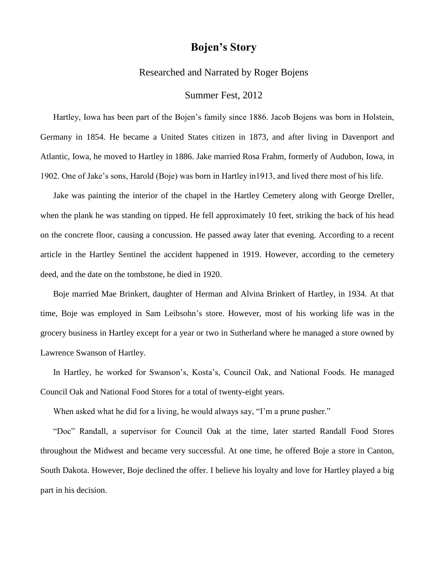## **Bojen's Story**

## Researched and Narrated by Roger Bojens

## Summer Fest, 2012

Hartley, Iowa has been part of the Bojen's family since 1886. Jacob Bojens was born in Holstein, Germany in 1854. He became a United States citizen in 1873, and after living in Davenport and Atlantic, Iowa, he moved to Hartley in 1886. Jake married Rosa Frahm, formerly of Audubon, Iowa, in 1902. One of Jake's sons, Harold (Boje) was born in Hartley in1913, and lived there most of his life.

Jake was painting the interior of the chapel in the Hartley Cemetery along with George Dreller, when the plank he was standing on tipped. He fell approximately 10 feet, striking the back of his head on the concrete floor, causing a concussion. He passed away later that evening. According to a recent article in the Hartley Sentinel the accident happened in 1919. However, according to the cemetery deed, and the date on the tombstone, he died in 1920.

Boje married Mae Brinkert, daughter of Herman and Alvina Brinkert of Hartley, in 1934. At that time, Boje was employed in Sam Leibsohn's store. However, most of his working life was in the grocery business in Hartley except for a year or two in Sutherland where he managed a store owned by Lawrence Swanson of Hartley.

In Hartley, he worked for Swanson's, Kosta's, Council Oak, and National Foods. He managed Council Oak and National Food Stores for a total of twenty-eight years.

When asked what he did for a living, he would always say, "I'm a prune pusher."

"Doc" Randall, a supervisor for Council Oak at the time, later started Randall Food Stores throughout the Midwest and became very successful. At one time, he offered Boje a store in Canton, South Dakota. However, Boje declined the offer. I believe his loyalty and love for Hartley played a big part in his decision.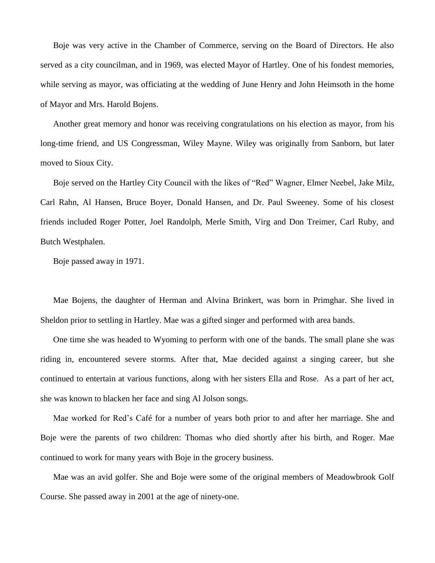Boje was very active in the Chamber of Commerce, serving on the Board of Directors. He also served as a city councilman, and in 1969, was elected Mayor of Hartley. One of his fondest memories, while serving as mayor, was officiating at the wedding of June Henry and John Heimsoth in the home of Mayor and Mrs. Harold Bojens.

Another great memory and honor was receiving congratulations on his election as mayor, from his long-time friend, and US Congressman, Wiley Mayne. Wiley was originally from Sanborn, but later moved to Sioux City.

Boje served on the Hartley City Council with the likes of "Red" Wagner, Elmer Neebel, Jake Milz, Carl Rahn, Al Hansen, Bruce Boyer, Donald Hansen, and Dr. Paul Sweeney. Some of his closest friends included Roger Potter, Joel Randolph, Merle Smith, Virg and Don Treimer, Carl Ruby, and Butch Westphalen.

Boje passed away in 1971.

Mae Bojens, the daughter of Herman and Alvina Brinkert, was born in Primghar. She lived in Sheldon prior to settling in Hartley. Mae was a gifted singer and performed with area bands.

One time she was headed to Wyoming to perform with one of the bands. The small plane she was riding in, encountered severe storms. After that, Mae decided against a singing career, but she continued to entertain at various functions, along with her sisters Ella and Rose. As a part of her act, she was known to blacken her face and sing Al Jolson songs.

Mae worked for Red's Café for a number of years both prior to and after her marriage. She and Boje were the parents of two children: Thomas who died shortly after his birth, and Roger. Mae continued to work for many years with Boje in the grocery business.

Mae was an avid golfer. She and Boje were some of the original members of Meadowbrook Golf Course. She passed away in 2001 at the age of ninety-one.